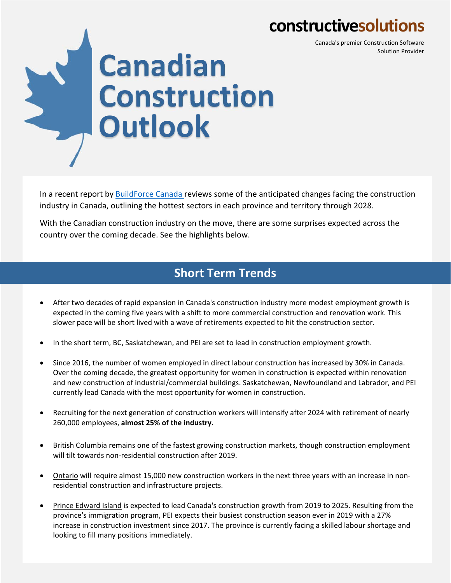## **constructivesolutions**

Canada's premier Construction Software Solution Provider



In a recent report by **BuildForce Canada** reviews some of the anticipated changes facing the construction industry in Canada, outlining the hottest sectors in each province and territory through 2028.

With the Canadian construction industry on the move, there are some surprises expected across the country over the coming decade. See the highlights below.

## **Short Term Trends**

- After two decades of rapid expansion in Canada's construction industry more modest employment growth is expected in the coming five years with a shift to more commercial construction and renovation work. This slower pace will be short lived with a wave of retirements expected to hit the construction sector.
- In the short term, BC, Saskatchewan, and PEI are set to lead in construction employment growth.
- Since 2016, the number of women employed in direct labour construction has increased by 30% in Canada. Over the coming decade, the greatest opportunity for women in construction is expected within renovation and new construction of industrial/commercial buildings. Saskatchewan, Newfoundland and Labrador, and PEI currently lead Canada with the most opportunity for women in construction.
- Recruiting for the next generation of construction workers will intensify after 2024 with retirement of nearly 260,000 employees, **almost 25% of the industry.**
- British Columbia remains one of the fastest growing construction markets, though construction employment will tilt towards non-residential construction after 2019.
- Ontario will require almost 15,000 new construction workers in the next three years with an increase in non‐ residential construction and infrastructure projects.
- Prince Edward Island is expected to lead Canada's construction growth from 2019 to 2025. Resulting from the province's immigration program, PEI expects their busiest construction season ever in 2019 with a 27% increase in construction investment since 2017. The province is currently facing a skilled labour shortage and looking to fill many positions immediately.